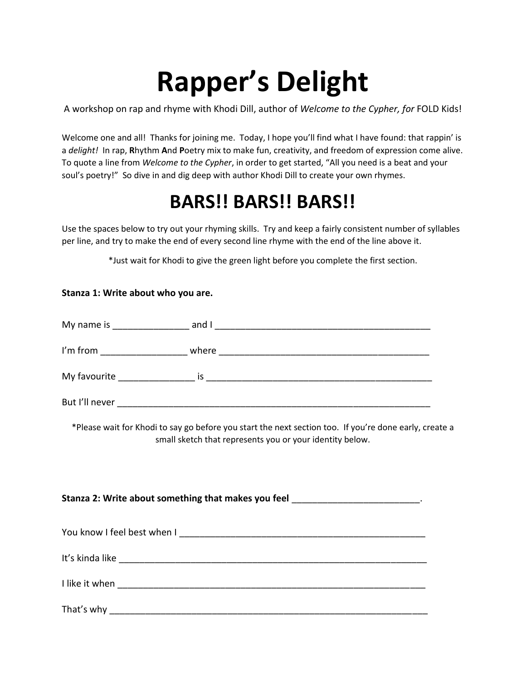## **Rapper's Delight**

A workshop on rap and rhyme with Khodi Dill, author of *Welcome to the Cypher, for* FOLD Kids!

Welcome one and all! Thanks for joining me. Today, I hope you'll find what I have found: that rappin' is a *delight!* In rap, **R**hythm **A**nd **P**oetry mix to make fun, creativity, and freedom of expression come alive. To quote a line from *Welcome to the Cypher*, in order to get started, "All you need is a beat and your soul's poetry!" So dive in and dig deep with author Khodi Dill to create your own rhymes.

## **BARS!! BARS!! BARS!!**

Use the spaces below to try out your rhyming skills. Try and keep a fairly consistent number of syllables per line, and try to make the end of every second line rhyme with the end of the line above it.

\*Just wait for Khodi to give the green light before you complete the first section.

## **Stanza 1: Write about who you are.**

| My name is     | and I |
|----------------|-------|
| I'm from       | where |
| My favourite   | İS    |
| But I'll never |       |

\*Please wait for Khodi to say go before you start the next section too. If you're done early, create a small sketch that represents you or your identity below.

| Stanza 2: Write about something that makes you feel ________________________. |  |  |  |  |  |
|-------------------------------------------------------------------------------|--|--|--|--|--|
|                                                                               |  |  |  |  |  |
|                                                                               |  |  |  |  |  |
|                                                                               |  |  |  |  |  |
|                                                                               |  |  |  |  |  |